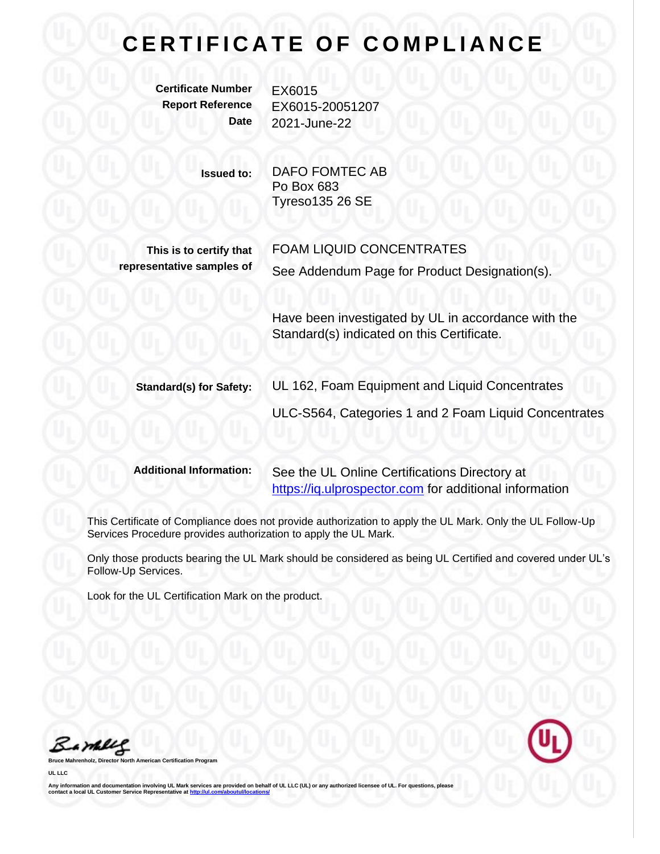## **CERTIFICATE OF COMPLIANCE**

**Certificate Number** EX6015

**Report Reference** EX6015-20051207 **Date** 2021-June-22

> **Issued to:** DAFO FOMTEC AB Po Box 683 Tyreso135 26 SE

**This is to certify that representative samples of** FOAM LIQUID CONCENTRATES See Addendum Page for Product Designation(s).

Have been investigated by UL in accordance with the Standard(s) indicated on this Certificate.

**Standard(s) for Safety:** UL 162, Foam Equipment and Liquid Concentrates

ULC-S564, Categories 1 and 2 Foam Liquid Concentrates

**Additional Information:** See the UL Online Certifications Directory at [https://iq.ulprospector.com](https://iq.ulprospector.com/) for additional information

This Certificate of Compliance does not provide authorization to apply the UL Mark. Only the UL Follow-Up Services Procedure provides authorization to apply the UL Mark.

Only those products bearing the UL Mark should be considered as being UL Certified and covered under UL's Follow-Up Services.

Look for the UL Certification Mark on the product.

Bamblel

**Bruce Mahrenholz, Director North American Certification Program**

**UL LLC**

Any information and documentation involving UL Mark services are provided on behalf of UL LLC (UL) or any authorized licensee of UL. For questions, please<br>contact a local UL Customer Service Representative at <u>http://ul.co</u>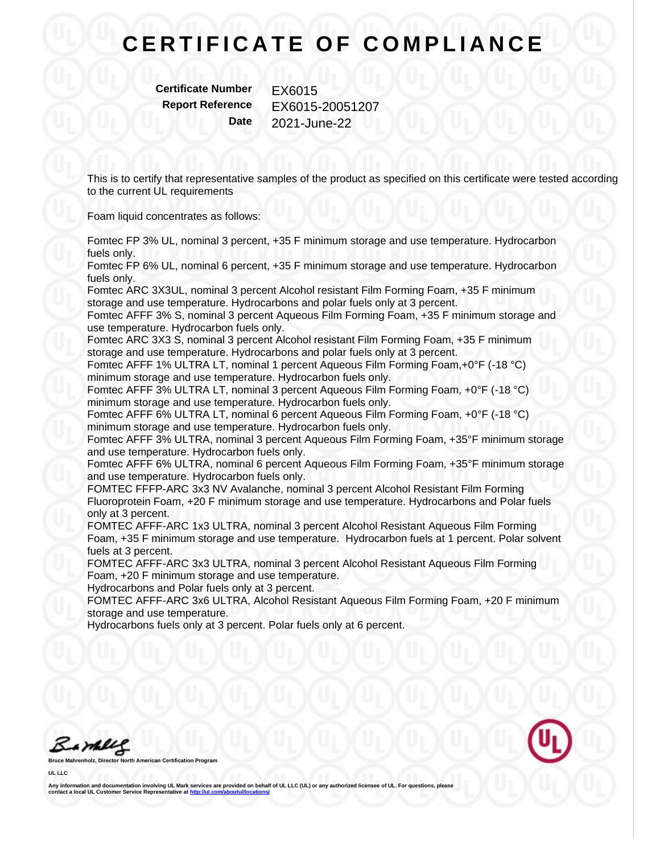## **CERTIFICATE OF COMPLIANCE**

**Certificate Number** EX6015

**Report Reference** EX6015-20051207 **Date** 2021-June-22

This is to certify that representative samples of the product as specified on this certificate were tested according to the current UL requirements

Foam liquid concentrates as follows:

Fomtec FP 3% UL, nominal 3 percent, +35 F minimum storage and use temperature. Hydrocarbon fuels only.

Fomtec FP 6% UL, nominal 6 percent, +35 F minimum storage and use temperature. Hydrocarbon fuels only.

Fomtec ARC 3X3UL, nominal 3 percent Alcohol resistant Film Forming Foam, +35 F minimum storage and use temperature. Hydrocarbons and polar fuels only at 3 percent.

Fomtec AFFF 3% S, nominal 3 percent Aqueous Film Forming Foam, +35 F minimum storage and use temperature. Hydrocarbon fuels only.

Fomtec ARC 3X3 S, nominal 3 percent Alcohol resistant Film Forming Foam, +35 F minimum storage and use temperature. Hydrocarbons and polar fuels only at 3 percent.

Fomtec AFFF 1% ULTRA LT, nominal 1 percent Aqueous Film Forming Foam,+0°F (-18 °C) minimum storage and use temperature. Hydrocarbon fuels only.

Fomtec AFFF 3% ULTRA LT, nominal 3 percent Aqueous Film Forming Foam, +0°F (-18 °C) minimum storage and use temperature. Hydrocarbon fuels only.

Fomtec AFFF 6% ULTRA LT, nominal 6 percent Aqueous Film Forming Foam, +0°F (-18 °C) minimum storage and use temperature. Hydrocarbon fuels only.

Fomtec AFFF 3% ULTRA, nominal 3 percent Aqueous Film Forming Foam, +35°F minimum storage and use temperature. Hydrocarbon fuels only.

Fomtec AFFF 6% ULTRA, nominal 6 percent Aqueous Film Forming Foam, +35°F minimum storage and use temperature. Hydrocarbon fuels only.

FOMTEC FFFP-ARC 3x3 NV Avalanche, nominal 3 percent Alcohol Resistant Film Forming Fluoroprotein Foam, +20 F minimum storage and use temperature. Hydrocarbons and Polar fuels only at 3 percent.

FOMTEC AFFF-ARC 1x3 ULTRA, nominal 3 percent Alcohol Resistant Aqueous Film Forming Foam, +35 F minimum storage and use temperature. Hydrocarbon fuels at 1 percent. Polar solvent fuels at 3 percent.

FOMTEC AFFF-ARC 3x3 ULTRA, nominal 3 percent Alcohol Resistant Aqueous Film Forming Foam, +20 F minimum storage and use temperature.

Hydrocarbons and Polar fuels only at 3 percent.

FOMTEC AFFF-ARC 3x6 ULTRA, Alcohol Resistant Aqueous Film Forming Foam, +20 F minimum storage and use temperature.

Hydrocarbons fuels only at 3 percent. Polar fuels only at 6 percent.

Bamelle

**Bruce Mahrenholz, Director North American Certification Program**

**UL LLC**

Any information and documentation involving UL Mark services are provided on behalf of UL LLC (UL) or any authorized licensee of UL. For questions, please<br>contact a local UL Customer Service Representative at <u>http://ul.co</u>